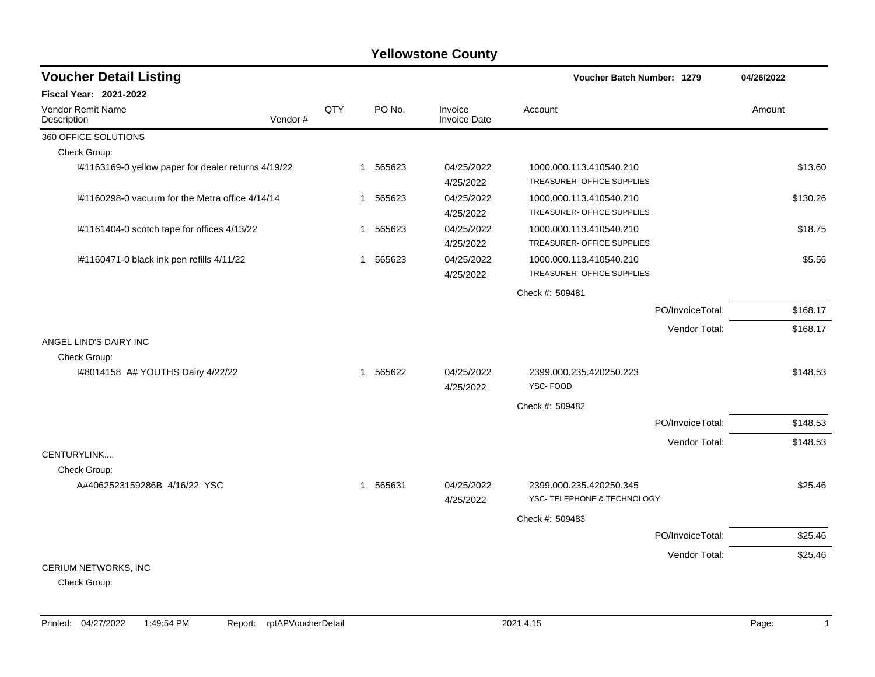## **Yellowstone County**

| <b>Voucher Detail Listing</b>                                                 |         |     |                          |                                | Voucher Batch Number: 1279                            |                  | 04/26/2022 |
|-------------------------------------------------------------------------------|---------|-----|--------------------------|--------------------------------|-------------------------------------------------------|------------------|------------|
| <b>Fiscal Year: 2021-2022</b>                                                 |         |     |                          |                                |                                                       |                  |            |
| Vendor Remit Name<br>Description                                              | Vendor# | QTY | PO No.                   | Invoice<br><b>Invoice Date</b> | Account                                               |                  | Amount     |
| 360 OFFICE SOLUTIONS                                                          |         |     |                          |                                |                                                       |                  |            |
| Check Group:                                                                  |         |     |                          |                                |                                                       |                  |            |
| I#1163169-0 yellow paper for dealer returns 4/19/22                           |         |     | 565623<br>$\overline{1}$ | 04/25/2022<br>4/25/2022        | 1000.000.113.410540.210<br>TREASURER- OFFICE SUPPLIES |                  | \$13.60    |
| I#1160298-0 vacuum for the Metra office 4/14/14                               |         |     | 565623<br>$\mathbf{1}$   | 04/25/2022<br>4/25/2022        | 1000.000.113.410540.210<br>TREASURER- OFFICE SUPPLIES |                  | \$130.26   |
| I#1161404-0 scotch tape for offices 4/13/22                                   |         |     | 565623<br>1              | 04/25/2022<br>4/25/2022        | 1000.000.113.410540.210<br>TREASURER- OFFICE SUPPLIES |                  | \$18.75    |
| I#1160471-0 black ink pen refills 4/11/22                                     |         |     | 565623<br>-1             | 04/25/2022<br>4/25/2022        | 1000.000.113.410540.210<br>TREASURER- OFFICE SUPPLIES |                  | \$5.56     |
|                                                                               |         |     |                          |                                | Check #: 509481                                       |                  |            |
|                                                                               |         |     |                          |                                |                                                       | PO/InvoiceTotal: | \$168.17   |
|                                                                               |         |     |                          |                                |                                                       | Vendor Total:    | \$168.17   |
| ANGEL LIND'S DAIRY INC                                                        |         |     |                          |                                |                                                       |                  |            |
| Check Group:                                                                  |         |     |                          |                                |                                                       |                  |            |
| I#8014158 A# YOUTHS Dairy 4/22/22                                             |         |     | 1 565622                 | 04/25/2022<br>4/25/2022        | 2399.000.235.420250.223<br>YSC-FOOD                   |                  | \$148.53   |
|                                                                               |         |     |                          |                                | Check #: 509482                                       |                  |            |
|                                                                               |         |     |                          |                                |                                                       | PO/InvoiceTotal: | \$148.53   |
|                                                                               |         |     |                          |                                |                                                       | Vendor Total:    | \$148.53   |
| CENTURYLINK<br>Check Group:                                                   |         |     |                          |                                |                                                       |                  |            |
| A#4062523159286B 4/16/22 YSC                                                  |         |     | 1 565631                 | 04/25/2022                     | 2399.000.235.420250.345                               |                  | \$25.46    |
|                                                                               |         |     |                          | 4/25/2022                      | YSC- TELEPHONE & TECHNOLOGY                           |                  |            |
|                                                                               |         |     |                          |                                | Check #: 509483                                       |                  |            |
|                                                                               |         |     |                          |                                |                                                       | PO/InvoiceTotal: | \$25.46    |
|                                                                               |         |     |                          |                                |                                                       | Vendor Total:    | \$25.46    |
| CERIUM NETWORKS, INC<br>$\mathsf{O}$ be a large $\mathsf{O}$ and $\mathsf{O}$ |         |     |                          |                                |                                                       |                  |            |

Check Group: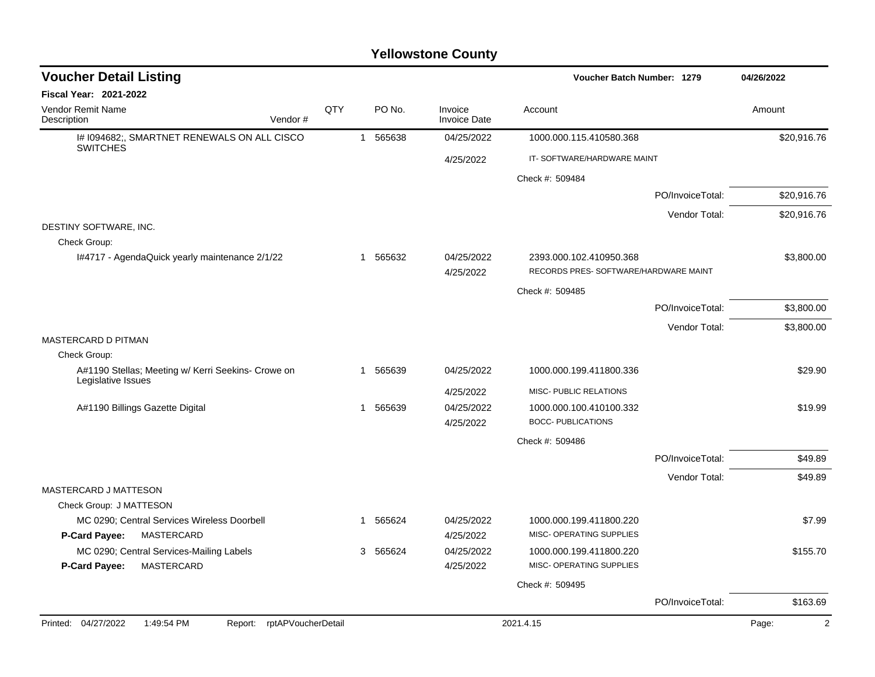## **Yellowstone County**

| <b>Voucher Detail Listing</b>                                            |     |   |          |                                | Voucher Batch Number: 1279                                       |                  | 04/26/2022  |
|--------------------------------------------------------------------------|-----|---|----------|--------------------------------|------------------------------------------------------------------|------------------|-------------|
| Fiscal Year: 2021-2022                                                   |     |   |          |                                |                                                                  |                  |             |
| <b>Vendor Remit Name</b><br>Vendor#<br>Description                       | QTY |   | PO No.   | Invoice<br><b>Invoice Date</b> | Account                                                          |                  | Amount      |
| I# 1094682;, SMARTNET RENEWALS ON ALL CISCO<br><b>SWITCHES</b>           |     |   | 1 565638 | 04/25/2022                     | 1000.000.115.410580.368                                          |                  | \$20,916.76 |
|                                                                          |     |   |          | 4/25/2022                      | IT-SOFTWARE/HARDWARE MAINT                                       |                  |             |
|                                                                          |     |   |          |                                | Check #: 509484                                                  |                  |             |
|                                                                          |     |   |          |                                |                                                                  | PO/InvoiceTotal: | \$20,916.76 |
|                                                                          |     |   |          |                                |                                                                  | Vendor Total:    | \$20,916.76 |
| DESTINY SOFTWARE, INC.                                                   |     |   |          |                                |                                                                  |                  |             |
| Check Group:                                                             |     |   |          |                                |                                                                  |                  |             |
| I#4717 - AgendaQuick yearly maintenance 2/1/22                           |     |   | 1 565632 | 04/25/2022<br>4/25/2022        | 2393.000.102.410950.368<br>RECORDS PRES- SOFTWARE/HARDWARE MAINT |                  | \$3,800.00  |
|                                                                          |     |   |          |                                | Check #: 509485                                                  |                  |             |
|                                                                          |     |   |          |                                |                                                                  | PO/InvoiceTotal: | \$3,800.00  |
|                                                                          |     |   |          |                                |                                                                  | Vendor Total:    | \$3,800.00  |
| <b>MASTERCARD D PITMAN</b>                                               |     |   |          |                                |                                                                  |                  |             |
| Check Group:                                                             |     |   |          |                                |                                                                  |                  |             |
| A#1190 Stellas; Meeting w/ Kerri Seekins- Crowe on<br>Legislative Issues |     | 1 | 565639   | 04/25/2022                     | 1000.000.199.411800.336                                          |                  | \$29.90     |
|                                                                          |     |   |          | 4/25/2022                      | MISC- PUBLIC RELATIONS                                           |                  |             |
| A#1190 Billings Gazette Digital                                          |     | 1 | 565639   | 04/25/2022                     | 1000.000.100.410100.332                                          |                  | \$19.99     |
|                                                                          |     |   |          | 4/25/2022                      | <b>BOCC- PUBLICATIONS</b>                                        |                  |             |
|                                                                          |     |   |          |                                | Check #: 509486                                                  |                  |             |
|                                                                          |     |   |          |                                |                                                                  | PO/InvoiceTotal: | \$49.89     |
|                                                                          |     |   |          |                                |                                                                  | Vendor Total:    | \$49.89     |
| MASTERCARD J MATTESON                                                    |     |   |          |                                |                                                                  |                  |             |
| Check Group: J MATTESON<br>MC 0290; Central Services Wireless Doorbell   |     | 1 | 565624   | 04/25/2022                     | 1000.000.199.411800.220                                          |                  | \$7.99      |
| P-Card Payee:<br>MASTERCARD                                              |     |   |          | 4/25/2022                      | MISC- OPERATING SUPPLIES                                         |                  |             |
| MC 0290; Central Services-Mailing Labels                                 |     |   | 3 565624 | 04/25/2022                     | 1000.000.199.411800.220                                          |                  | \$155.70    |
| P-Card Payee:<br>MASTERCARD                                              |     |   |          | 4/25/2022                      | MISC- OPERATING SUPPLIES                                         |                  |             |
|                                                                          |     |   |          |                                | Check #: 509495                                                  |                  |             |
|                                                                          |     |   |          |                                |                                                                  | PO/InvoiceTotal: | \$163.69    |
| Printed: 04/27/2022<br>1:49:54 PM<br>rptAPVoucherDetail<br>Report:       |     |   |          |                                | 2021.4.15                                                        |                  | Page:<br>2  |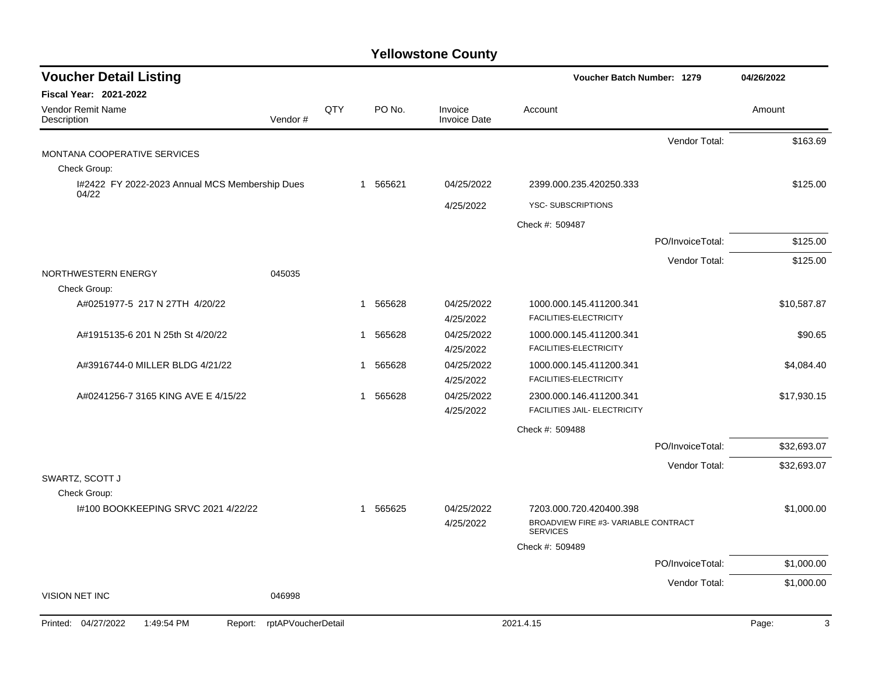## **Yellowstone County**

| <b>Fiscal Year: 2021-2022</b><br>Vendor Remit Name<br>QTY<br>PO No.<br>Invoice<br>Account<br>Amount<br>Vendor#<br><b>Invoice Date</b><br>Description<br>Vendor Total:<br>MONTANA COOPERATIVE SERVICES<br>Check Group:<br>I#2422 FY 2022-2023 Annual MCS Membership Dues<br>565621<br>04/25/2022<br>2399.000.235.420250.333<br>1<br>04/22<br><b>YSC-SUBSCRIPTIONS</b><br>4/25/2022<br>Check #: 509487<br>PO/InvoiceTotal:<br>Vendor Total: | 04/26/2022  |  |
|-------------------------------------------------------------------------------------------------------------------------------------------------------------------------------------------------------------------------------------------------------------------------------------------------------------------------------------------------------------------------------------------------------------------------------------------|-------------|--|
|                                                                                                                                                                                                                                                                                                                                                                                                                                           |             |  |
|                                                                                                                                                                                                                                                                                                                                                                                                                                           |             |  |
|                                                                                                                                                                                                                                                                                                                                                                                                                                           | \$163.69    |  |
|                                                                                                                                                                                                                                                                                                                                                                                                                                           |             |  |
|                                                                                                                                                                                                                                                                                                                                                                                                                                           |             |  |
|                                                                                                                                                                                                                                                                                                                                                                                                                                           | \$125.00    |  |
|                                                                                                                                                                                                                                                                                                                                                                                                                                           |             |  |
|                                                                                                                                                                                                                                                                                                                                                                                                                                           |             |  |
|                                                                                                                                                                                                                                                                                                                                                                                                                                           | \$125.00    |  |
|                                                                                                                                                                                                                                                                                                                                                                                                                                           | \$125.00    |  |
| NORTHWESTERN ENERGY<br>045035<br>Check Group:                                                                                                                                                                                                                                                                                                                                                                                             |             |  |
| 565628<br>04/25/2022<br>A#0251977-5 217 N 27TH 4/20/22<br>1000.000.145.411200.341<br>1<br>FACILITIES-ELECTRICITY<br>4/25/2022                                                                                                                                                                                                                                                                                                             | \$10,587.87 |  |
| A#1915135-6 201 N 25th St 4/20/22<br>565628<br>04/25/2022<br>1000.000.145.411200.341<br>1<br>FACILITIES-ELECTRICITY<br>4/25/2022                                                                                                                                                                                                                                                                                                          | \$90.65     |  |
| A#3916744-0 MILLER BLDG 4/21/22<br>565628<br>04/25/2022<br>1000.000.145.411200.341<br>1<br>FACILITIES-ELECTRICITY<br>4/25/2022                                                                                                                                                                                                                                                                                                            | \$4,084.40  |  |
| 565628<br>A#0241256-7 3165 KING AVE E 4/15/22<br>04/25/2022<br>2300.000.146.411200.341<br>1<br>FACILITIES JAIL- ELECTRICITY<br>4/25/2022                                                                                                                                                                                                                                                                                                  | \$17,930.15 |  |
| Check #: 509488                                                                                                                                                                                                                                                                                                                                                                                                                           |             |  |
| PO/InvoiceTotal:                                                                                                                                                                                                                                                                                                                                                                                                                          | \$32,693.07 |  |
| Vendor Total:                                                                                                                                                                                                                                                                                                                                                                                                                             | \$32,693.07 |  |
| SWARTZ, SCOTT J                                                                                                                                                                                                                                                                                                                                                                                                                           |             |  |
| Check Group:                                                                                                                                                                                                                                                                                                                                                                                                                              |             |  |
| I#100 BOOKKEEPING SRVC 2021 4/22/22<br>565625<br>04/25/2022<br>7203.000.720.420400.398<br>1<br>BROADVIEW FIRE #3- VARIABLE CONTRACT<br>4/25/2022                                                                                                                                                                                                                                                                                          | \$1,000.00  |  |
| <b>SERVICES</b>                                                                                                                                                                                                                                                                                                                                                                                                                           |             |  |
| Check #: 509489                                                                                                                                                                                                                                                                                                                                                                                                                           |             |  |
| PO/InvoiceTotal:                                                                                                                                                                                                                                                                                                                                                                                                                          | \$1,000.00  |  |
| Vendor Total:<br>VISION NET INC<br>046998                                                                                                                                                                                                                                                                                                                                                                                                 | \$1,000.00  |  |
| 04/27/2022<br>1:49:54 PM<br>rptAPVoucherDetail<br>2021.4.15<br>Printed:<br>Report:<br>Page:                                                                                                                                                                                                                                                                                                                                               | 3           |  |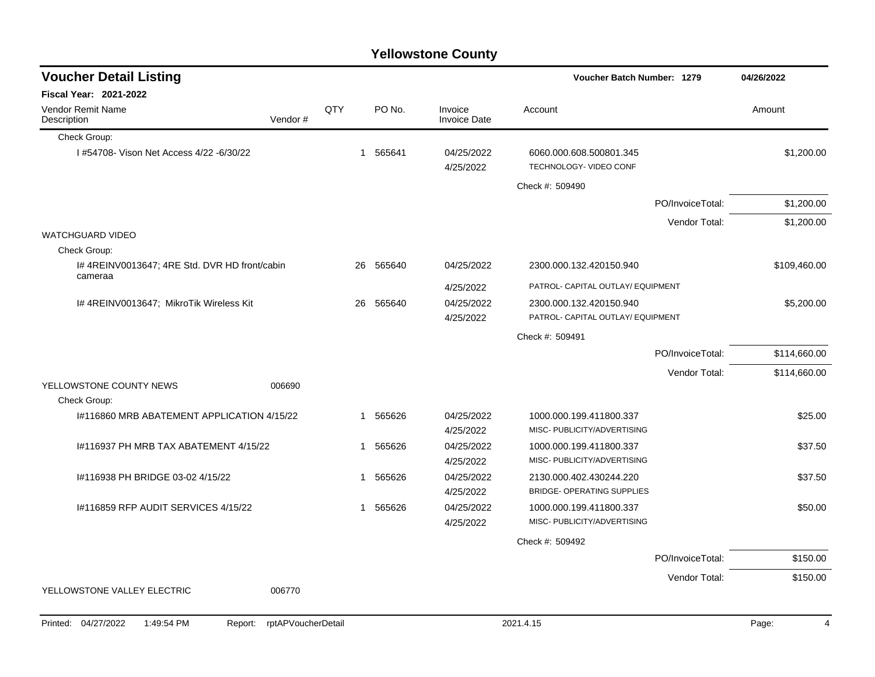| <b>Yellowstone County</b> |  |
|---------------------------|--|
|---------------------------|--|

| <b>Voucher Detail Listing</b>                            |                               |              |           |                                | Voucher Batch Number: 1279                        |                  | 04/26/2022   |
|----------------------------------------------------------|-------------------------------|--------------|-----------|--------------------------------|---------------------------------------------------|------------------|--------------|
| <b>Fiscal Year: 2021-2022</b>                            |                               |              |           |                                |                                                   |                  |              |
| <b>Vendor Remit Name</b><br>Description                  | Vendor#                       | QTY          | PO No.    | Invoice<br><b>Invoice Date</b> | Account                                           |                  | Amount       |
| Check Group:                                             |                               |              |           |                                |                                                   |                  |              |
| I #54708- Vison Net Access 4/22 -6/30/22                 |                               |              | 1 565641  | 04/25/2022<br>4/25/2022        | 6060.000.608.500801.345<br>TECHNOLOGY- VIDEO CONF |                  | \$1,200.00   |
|                                                          |                               |              |           |                                | Check #: 509490                                   |                  |              |
|                                                          |                               |              |           |                                |                                                   | PO/InvoiceTotal: | \$1,200.00   |
|                                                          |                               |              |           |                                |                                                   | Vendor Total:    | \$1,200.00   |
| <b>WATCHGUARD VIDEO</b>                                  |                               |              |           |                                |                                                   |                  |              |
| Check Group:                                             |                               |              |           |                                |                                                   |                  |              |
| I# 4REINV0013647; 4RE Std. DVR HD front/cabin<br>cameraa |                               |              | 26 565640 | 04/25/2022                     | 2300.000.132.420150.940                           |                  | \$109,460.00 |
|                                                          |                               |              |           | 4/25/2022                      | PATROL- CAPITAL OUTLAY/ EQUIPMENT                 |                  |              |
| I# 4REINV0013647; MikroTik Wireless Kit                  |                               |              | 26 565640 | 04/25/2022                     | 2300.000.132.420150.940                           |                  | \$5,200.00   |
|                                                          |                               |              |           | 4/25/2022                      | PATROL- CAPITAL OUTLAY/ EQUIPMENT                 |                  |              |
|                                                          |                               |              |           |                                | Check #: 509491                                   |                  |              |
|                                                          |                               |              |           |                                |                                                   | PO/InvoiceTotal: | \$114,660.00 |
|                                                          |                               |              |           |                                |                                                   | Vendor Total:    | \$114,660.00 |
| YELLOWSTONE COUNTY NEWS                                  | 006690                        |              |           |                                |                                                   |                  |              |
| Check Group:                                             |                               |              |           |                                |                                                   |                  |              |
| 1#116860 MRB ABATEMENT APPLICATION 4/15/22               |                               |              | 1 565626  | 04/25/2022                     | 1000.000.199.411800.337                           |                  | \$25.00      |
|                                                          |                               |              |           | 4/25/2022                      | MISC- PUBLICITY/ADVERTISING                       |                  |              |
| 1#116937 PH MRB TAX ABATEMENT 4/15/22                    |                               | $\mathbf{1}$ | 565626    | 04/25/2022                     | 1000.000.199.411800.337                           |                  | \$37.50      |
|                                                          |                               |              |           | 4/25/2022                      | MISC- PUBLICITY/ADVERTISING                       |                  |              |
| #116938 PH BRIDGE 03-02 4/15/22                          |                               | 1            | 565626    | 04/25/2022                     | 2130.000.402.430244.220                           |                  | \$37.50      |
|                                                          |                               |              |           | 4/25/2022                      | <b>BRIDGE- OPERATING SUPPLIES</b>                 |                  |              |
| #116859 RFP AUDIT SERVICES 4/15/22                       |                               | 1            | 565626    | 04/25/2022                     | 1000.000.199.411800.337                           |                  | \$50.00      |
|                                                          |                               |              |           | 4/25/2022                      | MISC- PUBLICITY/ADVERTISING                       |                  |              |
|                                                          |                               |              |           |                                | Check #: 509492                                   |                  |              |
|                                                          |                               |              |           |                                |                                                   | PO/InvoiceTotal: | \$150.00     |
|                                                          |                               |              |           |                                |                                                   | Vendor Total:    | \$150.00     |
| YELLOWSTONE VALLEY ELECTRIC                              | 006770                        |              |           |                                |                                                   |                  |              |
|                                                          |                               |              |           |                                |                                                   |                  |              |
| Printed: 04/27/2022<br>1:49:54 PM                        | rptAPVoucherDetail<br>Report: |              |           |                                | 2021.4.15                                         |                  | Page:<br>4   |